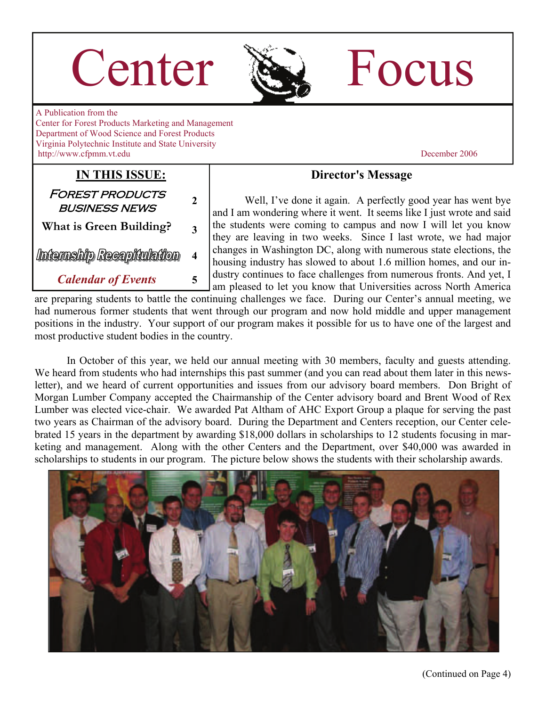# Center Re Focus



A Publication from the Center for Forest Products Marketing and Management Department of Wood Science and Forest Products Virginia Polytechnic Institute and State University http://www.cfpmm.vt.edu December 2006

**IN THIS ISSUE:**

Forest products business news **<sup>2</sup>**

**What is Green Building? 3** 

Internship Recapitulation

**4** 

*Calendar of Events* **5** 

### **Director's Message**

Well, I've done it again. A perfectly good year has went bye and I am wondering where it went. It seems like I just wrote and said the students were coming to campus and now I will let you know they are leaving in two weeks. Since I last wrote, we had major changes in Washington DC, along with numerous state elections, the housing industry has slowed to about 1.6 million homes, and our industry continues to face challenges from numerous fronts. And yet, I am pleased to let you know that Universities across North America

are preparing students to battle the continuing challenges we face. During our Center's annual meeting, we had numerous former students that went through our program and now hold middle and upper management positions in the industry. Your support of our program makes it possible for us to have one of the largest and most productive student bodies in the country.

 In October of this year, we held our annual meeting with 30 members, faculty and guests attending. We heard from students who had internships this past summer (and you can read about them later in this newsletter), and we heard of current opportunities and issues from our advisory board members. Don Bright of Morgan Lumber Company accepted the Chairmanship of the Center advisory board and Brent Wood of Rex Lumber was elected vice-chair. We awarded Pat Altham of AHC Export Group a plaque for serving the past two years as Chairman of the advisory board. During the Department and Centers reception, our Center celebrated 15 years in the department by awarding \$18,000 dollars in scholarships to 12 students focusing in marketing and management. Along with the other Centers and the Department, over \$40,000 was awarded in scholarships to students in our program. The picture below shows the students with their scholarship awards.

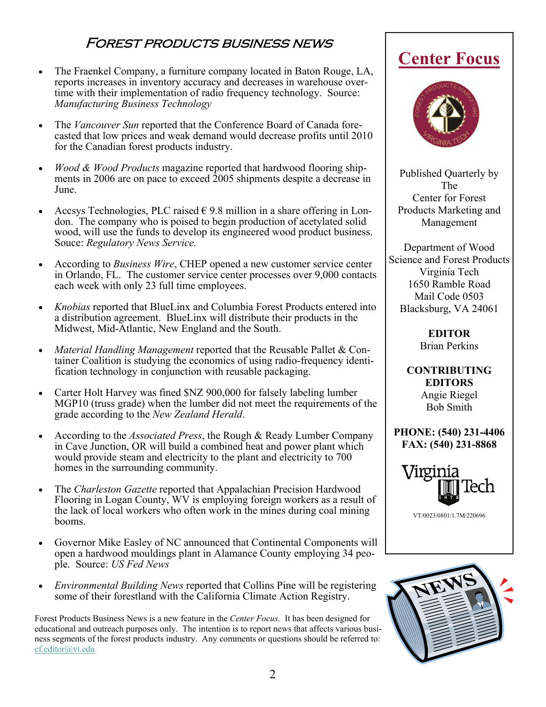## Forest products business news

- The Fraenkel Company, a furniture company located in Baton Rouge, LA, reports increases in inventory accuracy and decreases in warehouse overtime with their implementation of radio frequency technology. Source: *Manufacturing Business Technology*
- The *Vancouver Sun* reported that the Conference Board of Canada forecasted that low prices and weak demand would decrease profits until 2010 for the Canadian forest products industry.
- *Wood & Wood Products* magazine reported that hardwood flooring shipments in 2006 are on pace to exceed 2005 shipments despite a decrease in June.
- Accsys Technologies, PLC raised  $\epsilon$  9.8 million in a share offering in London. The company who is poised to begin production of acetylated solid wood, will use the funds to develop its engineered wood product business. Souce: *Regulatory News Service.*
- According to *Business Wire*, CHEP opened a new customer service center in Orlando, FL. The customer service center processes over 9,000 contacts each week with only 23 full time employees.
- *Knobias* reported that BlueLinx and Columbia Forest Products entered into a distribution agreement. BlueLinx will distribute their products in the Midwest, Mid-Atlantic, New England and the South.
- *Material Handling Management* reported that the Reusable Pallet & Container Coalition is studying the economics of using radio-frequency identification technology in conjunction with reusable packaging.
- Carter Holt Harvey was fined \$NZ 900,000 for falsely labeling lumber MGP10 (truss grade) when the lumber did not meet the requirements of the grade according to the *New Zealand Herald*.
- According to the *Associated Press*, the Rough & Ready Lumber Company in Cave Junction, OR will build a combined heat and power plant which would provide steam and electricity to the plant and electricity to 700 homes in the surrounding community.
- The *Charleston Gazette* reported that Appalachian Precision Hardwood Flooring in Logan County, WV is employing foreign workers as a result of the lack of local workers who often work in the mines during coal mining booms.
- Governor Mike Easley of NC announced that Continental Components will open a hardwood mouldings plant in Alamance County employing 34 people. Source: *US Fed News*
- *Environmental Building News* reported that Collins Pine will be registering some of their forestland with the California Climate Action Registry.

Forest Products Business News is a new feature in the *Center Focus.* It has been designed for educational and outreach purposes only. The intention is to report news that affects various business segments of the forest products industry. Any comments or questions should be referred to: [cf.editor@vt.edu](mailto:cf.editor@vt.edu?subject=Center%20Focus%20Comment)

# **Center Focus**



Published Quarterly by The Center for Forest Products Marketing and Management

Department of Wood Science and Forest Products Virginia Tech 1650 Ramble Road Mail Code 0503 Blacksburg, VA 24061

> **EDITOR**  Brian Perkins

**CONTRIBUTING EDITORS**  Angie Riegel Bob Smith

**PHONE: (540) 231-4406 FAX: (540) 231-8868** 



VT/0023/0801/1.7M/220696

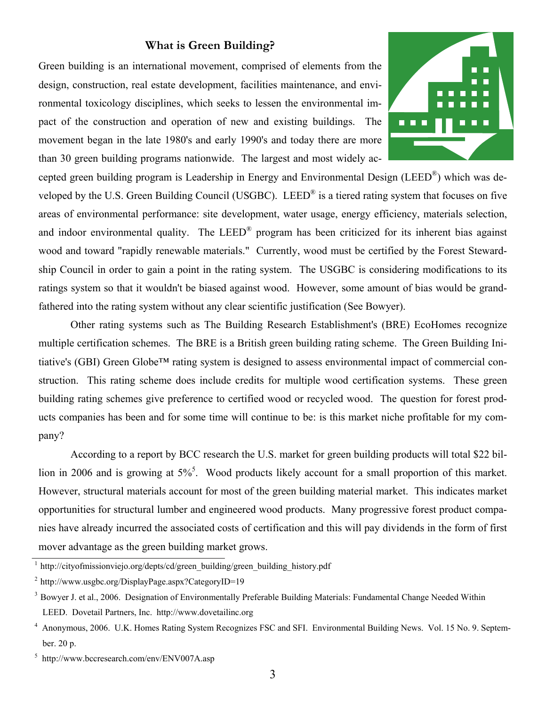#### **What is Green Building?**

Green building is an international movement, comprised of elements from the design, construction, real estate development, facilities maintenance, and environmental toxicology disciplines, which seeks to lessen the environmental impact of the construction and operation of new and existing buildings. The movement began in the late 1980's and early 1990's and today there are more than 30 green building programs nationwide. The largest and most widely ac-



cepted green building program is Leadership in Energy and Environmental Design (LEED®) which was developed by the U.S. Green Building Council (USGBC). LEED® is a tiered rating system that focuses on five areas of environmental performance: site development, water usage, energy efficiency, materials selection, and indoor environmental quality. The LEED<sup>®</sup> program has been criticized for its inherent bias against wood and toward "rapidly renewable materials." Currently, wood must be certified by the Forest Stewardship Council in order to gain a point in the rating system. The USGBC is considering modifications to its ratings system so that it wouldn't be biased against wood. However, some amount of bias would be grandfathered into the rating system without any clear scientific justification (See Bowyer).

 Other rating systems such as The Building Research Establishment's (BRE) EcoHomes recognize multiple certification schemes. The BRE is a British green building rating scheme. The Green Building Initiative's (GBI) Green Globe™ rating system is designed to assess environmental impact of commercial construction. This rating scheme does include credits for multiple wood certification systems. These green building rating schemes give preference to certified wood or recycled wood. The question for forest products companies has been and for some time will continue to be: is this market niche profitable for my company?

 According to a report by BCC research the U.S. market for green building products will total \$22 billion in 2006 and is growing at  $5\%$ <sup>5</sup>. Wood products likely account for a small proportion of this market. However, structural materials account for most of the green building material market. This indicates market opportunities for structural lumber and engineered wood products. Many progressive forest product companies have already incurred the associated costs of certification and this will pay dividends in the form of first mover advantage as the green building market grows.

<sup>&</sup>lt;sup>1</sup> http://cityofmissionviejo.org/depts/cd/green\_building/green\_building\_history.pdf

<sup>2</sup> http://www.usgbc.org/DisplayPage.aspx?CategoryID=19

 $3$  Bowyer J. et al., 2006. Designation of Environmentally Preferable Building Materials: Fundamental Change Needed Within LEED. Dovetail Partners, Inc. http://www.dovetailinc.org

<sup>4</sup> Anonymous, 2006. U.K. Homes Rating System Recognizes FSC and SFI. Environmental Building News. Vol. 15 No. 9. September. 20 p.

<sup>5</sup> http://www.bccresearch.com/env/ENV007A.asp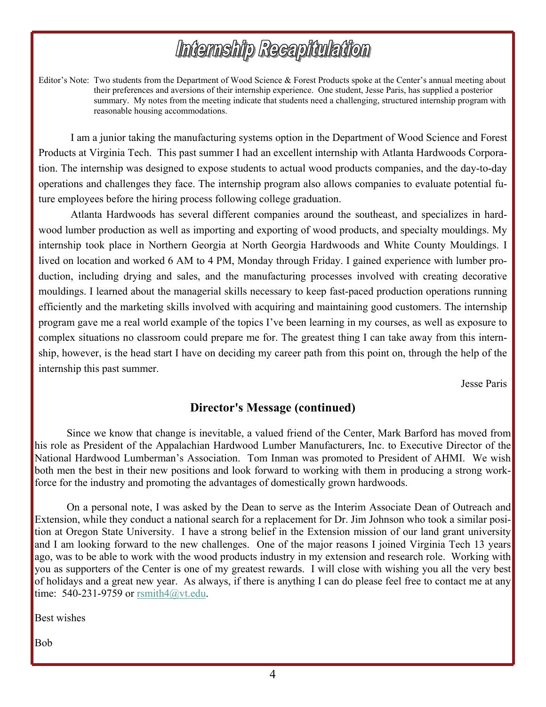# Internship Recapitulation

Editor's Note: Two students from the Department of Wood Science & Forest Products spoke at the Center's annual meeting about their preferences and aversions of their internship experience. One student, Jesse Paris, has supplied a posterior summary. My notes from the meeting indicate that students need a challenging, structured internship program with reasonable housing accommodations.

I am a junior taking the manufacturing systems option in the Department of Wood Science and Forest Products at Virginia Tech. This past summer I had an excellent internship with Atlanta Hardwoods Corporation. The internship was designed to expose students to actual wood products companies, and the day-to-day operations and challenges they face. The internship program also allows companies to evaluate potential future employees before the hiring process following college graduation.

Atlanta Hardwoods has several different companies around the southeast, and specializes in hardwood lumber production as well as importing and exporting of wood products, and specialty mouldings. My internship took place in Northern Georgia at North Georgia Hardwoods and White County Mouldings. I lived on location and worked 6 AM to 4 PM, Monday through Friday. I gained experience with lumber production, including drying and sales, and the manufacturing processes involved with creating decorative mouldings. I learned about the managerial skills necessary to keep fast-paced production operations running efficiently and the marketing skills involved with acquiring and maintaining good customers. The internship program gave me a real world example of the topics I've been learning in my courses, as well as exposure to complex situations no classroom could prepare me for. The greatest thing I can take away from this internship, however, is the head start I have on deciding my career path from this point on, through the help of the internship this past summer.

Jesse Paris

### **Director's Message (continued)**

 Since we know that change is inevitable, a valued friend of the Center, Mark Barford has moved from his role as President of the Appalachian Hardwood Lumber Manufacturers, Inc. to Executive Director of the National Hardwood Lumberman's Association. Tom Inman was promoted to President of AHMI. We wish both men the best in their new positions and look forward to working with them in producing a strong workforce for the industry and promoting the advantages of domestically grown hardwoods.

 On a personal note, I was asked by the Dean to serve as the Interim Associate Dean of Outreach and Extension, while they conduct a national search for a replacement for Dr. Jim Johnson who took a similar position at Oregon State University. I have a strong belief in the Extension mission of our land grant university and I am looking forward to the new challenges. One of the major reasons I joined Virginia Tech 13 years ago, was to be able to work with the wood products industry in my extension and research role. Working with you as supporters of the Center is one of my greatest rewards. I will close with wishing you all the very best of holidays and a great new year. As always, if there is anything I can do please feel free to contact me at any time:  $540-231-9759$  or rsmith $4@$ vt.edu.

Best wishes

Bob